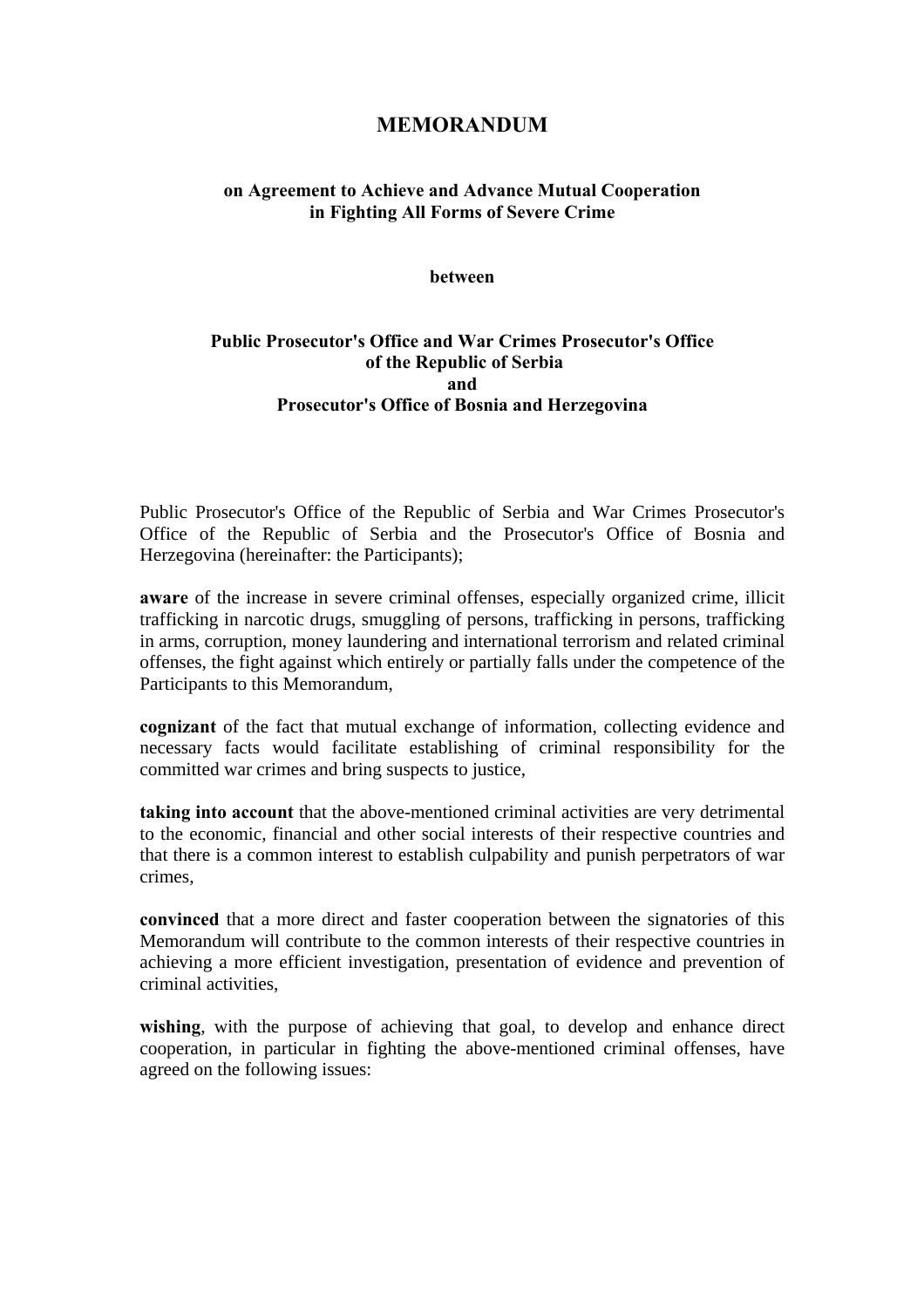# **MEMORANDUM**

## **on Agreement to Achieve and Advance Mutual Cooperation in Fighting All Forms of Severe Crime**

#### **between**

## **Public Prosecutor's Office and War Crimes Prosecutor's Office of the Republic of Serbia and Prosecutor's Office of Bosnia and Herzegovina**

Public Prosecutor's Office of the Republic of Serbia and War Crimes Prosecutor's Office of the Republic of Serbia and the Prosecutor's Office of Bosnia and Herzegovina (hereinafter: the Participants);

**aware** of the increase in severe criminal offenses, especially organized crime, illicit trafficking in narcotic drugs, smuggling of persons, trafficking in persons, trafficking in arms, corruption, money laundering and international terrorism and related criminal offenses, the fight against which entirely or partially falls under the competence of the Participants to this Memorandum,

**cognizant** of the fact that mutual exchange of information, collecting evidence and necessary facts would facilitate establishing of criminal responsibility for the committed war crimes and bring suspects to justice,

**taking into account** that the above-mentioned criminal activities are very detrimental to the economic, financial and other social interests of their respective countries and that there is a common interest to establish culpability and punish perpetrators of war crimes,

**convinced** that a more direct and faster cooperation between the signatories of this Memorandum will contribute to the common interests of their respective countries in achieving a more efficient investigation, presentation of evidence and prevention of criminal activities,

wishing, with the purpose of achieving that goal, to develop and enhance direct cooperation, in particular in fighting the above-mentioned criminal offenses, have agreed on the following issues: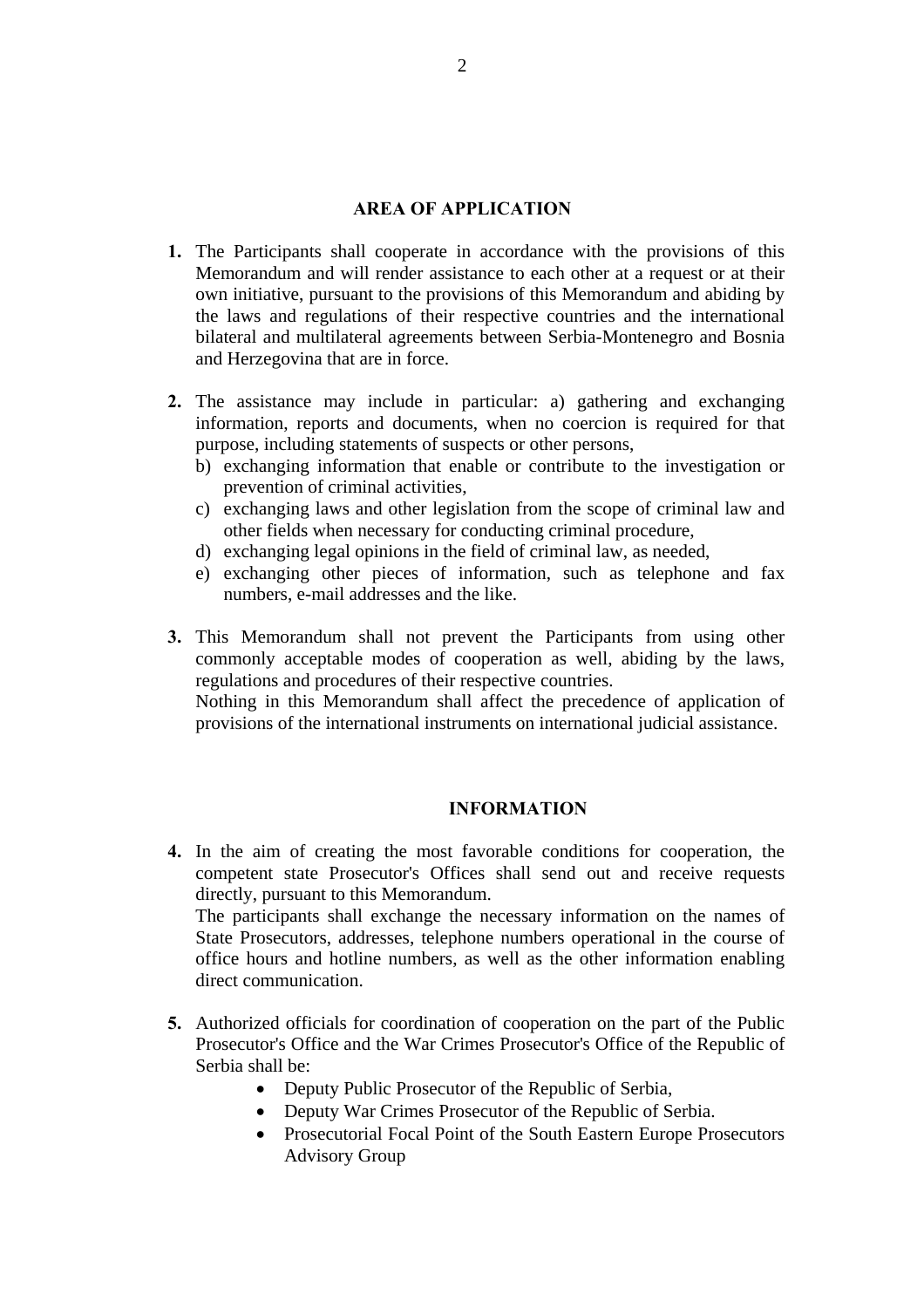#### **AREA OF APPLICATION**

- **1.** The Participants shall cooperate in accordance with the provisions of this Memorandum and will render assistance to each other at a request or at their own initiative, pursuant to the provisions of this Memorandum and abiding by the laws and regulations of their respective countries and the international bilateral and multilateral agreements between Serbia-Montenegro and Bosnia and Herzegovina that are in force.
- **2.** The assistance may include in particular: a) gathering and exchanging information, reports and documents, when no coercion is required for that purpose, including statements of suspects or other persons,
	- b) exchanging information that enable or contribute to the investigation or prevention of criminal activities,
	- c) exchanging laws and other legislation from the scope of criminal law and other fields when necessary for conducting criminal procedure,
	- d) exchanging legal opinions in the field of criminal law, as needed,
	- e) exchanging other pieces of information, such as telephone and fax numbers, e-mail addresses and the like.
- **3.** This Memorandum shall not prevent the Participants from using other commonly acceptable modes of cooperation as well, abiding by the laws, regulations and procedures of their respective countries.

Nothing in this Memorandum shall affect the precedence of application of provisions of the international instruments on international judicial assistance.

## **INFORMATION**

**4.** In the aim of creating the most favorable conditions for cooperation, the competent state Prosecutor's Offices shall send out and receive requests directly, pursuant to this Memorandum. The participants shall exchange the necessary information on the names of State Prosecutors, addresses, telephone numbers operational in the course of

office hours and hotline numbers, as well as the other information enabling direct communication.

- **5.** Authorized officials for coordination of cooperation on the part of the Public Prosecutor's Office and the War Crimes Prosecutor's Office of the Republic of Serbia shall be:
	- Deputy Public Prosecutor of the Republic of Serbia,
	- Deputy War Crimes Prosecutor of the Republic of Serbia.
	- Prosecutorial Focal Point of the South Eastern Europe Prosecutors Advisory Group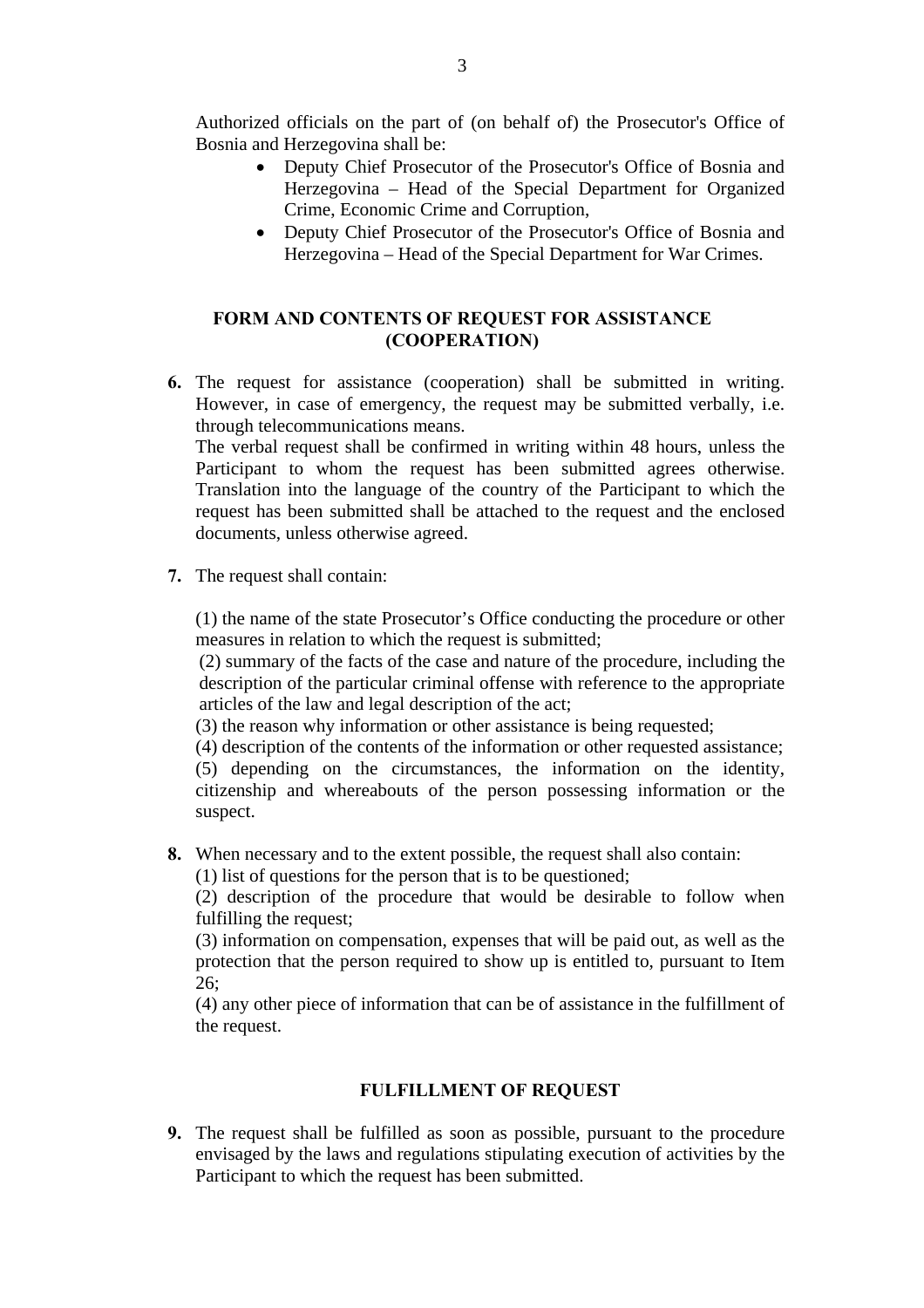Authorized officials on the part of (on behalf of) the Prosecutor's Office of Bosnia and Herzegovina shall be:

- Deputy Chief Prosecutor of the Prosecutor's Office of Bosnia and Herzegovina – Head of the Special Department for Organized Crime, Economic Crime and Corruption,
- Deputy Chief Prosecutor of the Prosecutor's Office of Bosnia and Herzegovina – Head of the Special Department for War Crimes.

## **FORM AND CONTENTS OF REQUEST FOR ASSISTANCE (COOPERATION)**

**6.** The request for assistance (cooperation) shall be submitted in writing. However, in case of emergency, the request may be submitted verbally, i.e. through telecommunications means.

The verbal request shall be confirmed in writing within 48 hours, unless the Participant to whom the request has been submitted agrees otherwise. Translation into the language of the country of the Participant to which the request has been submitted shall be attached to the request and the enclosed documents, unless otherwise agreed.

**7.** The request shall contain:

(1) the name of the state Prosecutor's Office conducting the procedure or other measures in relation to which the request is submitted;

(2) summary of the facts of the case and nature of the procedure, including the description of the particular criminal offense with reference to the appropriate articles of the law and legal description of the act;

(3) the reason why information or other assistance is being requested;

(4) description of the contents of the information or other requested assistance;

(5) depending on the circumstances, the information on the identity, citizenship and whereabouts of the person possessing information or the suspect.

**8.** When necessary and to the extent possible, the request shall also contain:

(1) list of questions for the person that is to be questioned;

(2) description of the procedure that would be desirable to follow when fulfilling the request;

(3) information on compensation, expenses that will be paid out, as well as the protection that the person required to show up is entitled to, pursuant to Item 26;

(4) any other piece of information that can be of assistance in the fulfillment of the request.

## **FULFILLMENT OF REQUEST**

**9.** The request shall be fulfilled as soon as possible, pursuant to the procedure envisaged by the laws and regulations stipulating execution of activities by the Participant to which the request has been submitted.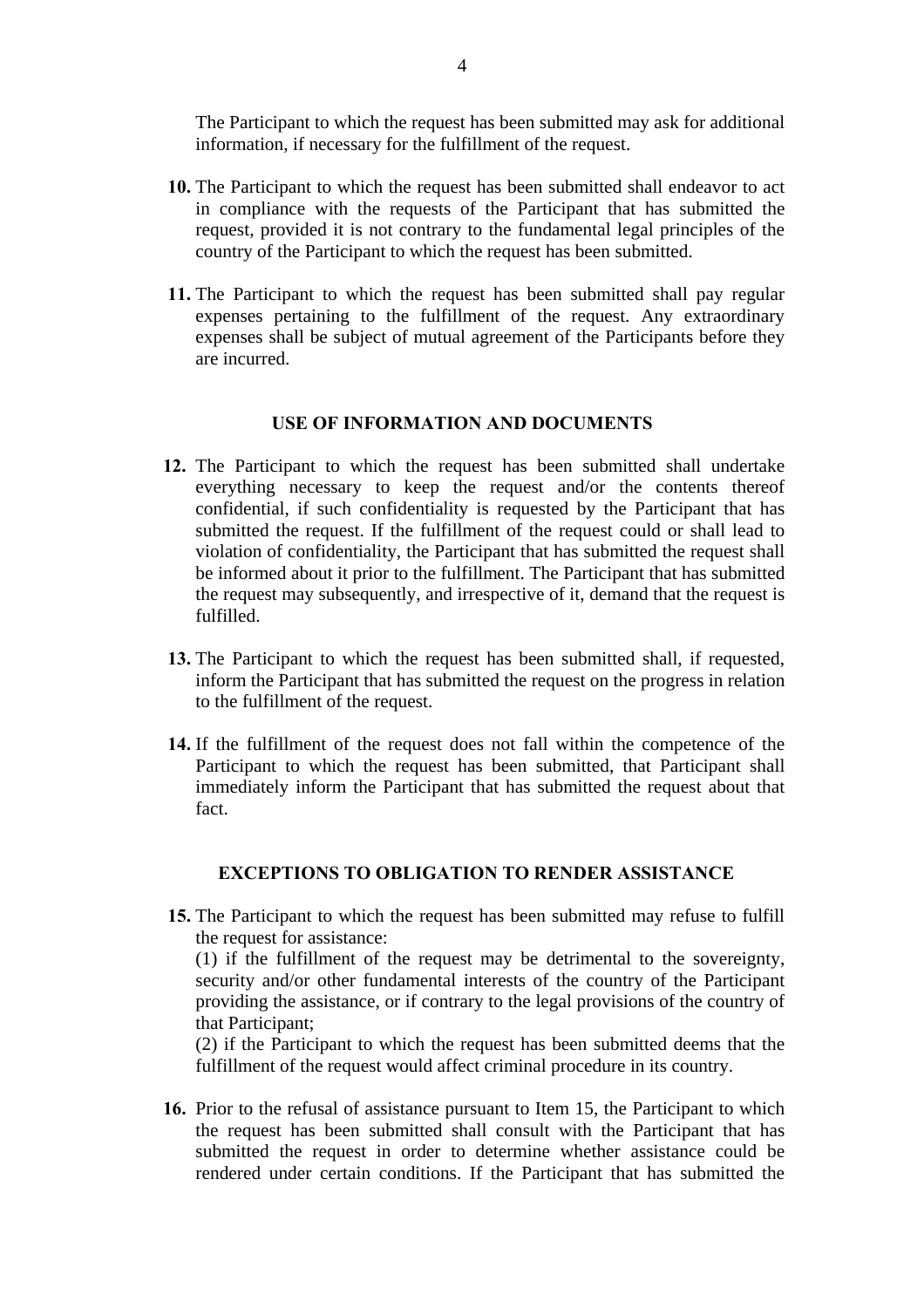The Participant to which the request has been submitted may ask for additional information, if necessary for the fulfillment of the request.

- **10.** The Participant to which the request has been submitted shall endeavor to act in compliance with the requests of the Participant that has submitted the request, provided it is not contrary to the fundamental legal principles of the country of the Participant to which the request has been submitted.
- **11.** The Participant to which the request has been submitted shall pay regular expenses pertaining to the fulfillment of the request. Any extraordinary expenses shall be subject of mutual agreement of the Participants before they are incurred.

#### **USE OF INFORMATION AND DOCUMENTS**

- **12.** The Participant to which the request has been submitted shall undertake everything necessary to keep the request and/or the contents thereof confidential, if such confidentiality is requested by the Participant that has submitted the request. If the fulfillment of the request could or shall lead to violation of confidentiality, the Participant that has submitted the request shall be informed about it prior to the fulfillment. The Participant that has submitted the request may subsequently, and irrespective of it, demand that the request is fulfilled.
- **13.** The Participant to which the request has been submitted shall, if requested, inform the Participant that has submitted the request on the progress in relation to the fulfillment of the request.
- **14.** If the fulfillment of the request does not fall within the competence of the Participant to which the request has been submitted, that Participant shall immediately inform the Participant that has submitted the request about that fact.

#### **EXCEPTIONS TO OBLIGATION TO RENDER ASSISTANCE**

- **15.** The Participant to which the request has been submitted may refuse to fulfill the request for assistance: (1) if the fulfillment of the request may be detrimental to the sovereignty, security and/or other fundamental interests of the country of the Participant providing the assistance, or if contrary to the legal provisions of the country of that Participant; (2) if the Participant to which the request has been submitted deems that the fulfillment of the request would affect criminal procedure in its country.
- **16.** Prior to the refusal of assistance pursuant to Item 15, the Participant to which the request has been submitted shall consult with the Participant that has submitted the request in order to determine whether assistance could be rendered under certain conditions. If the Participant that has submitted the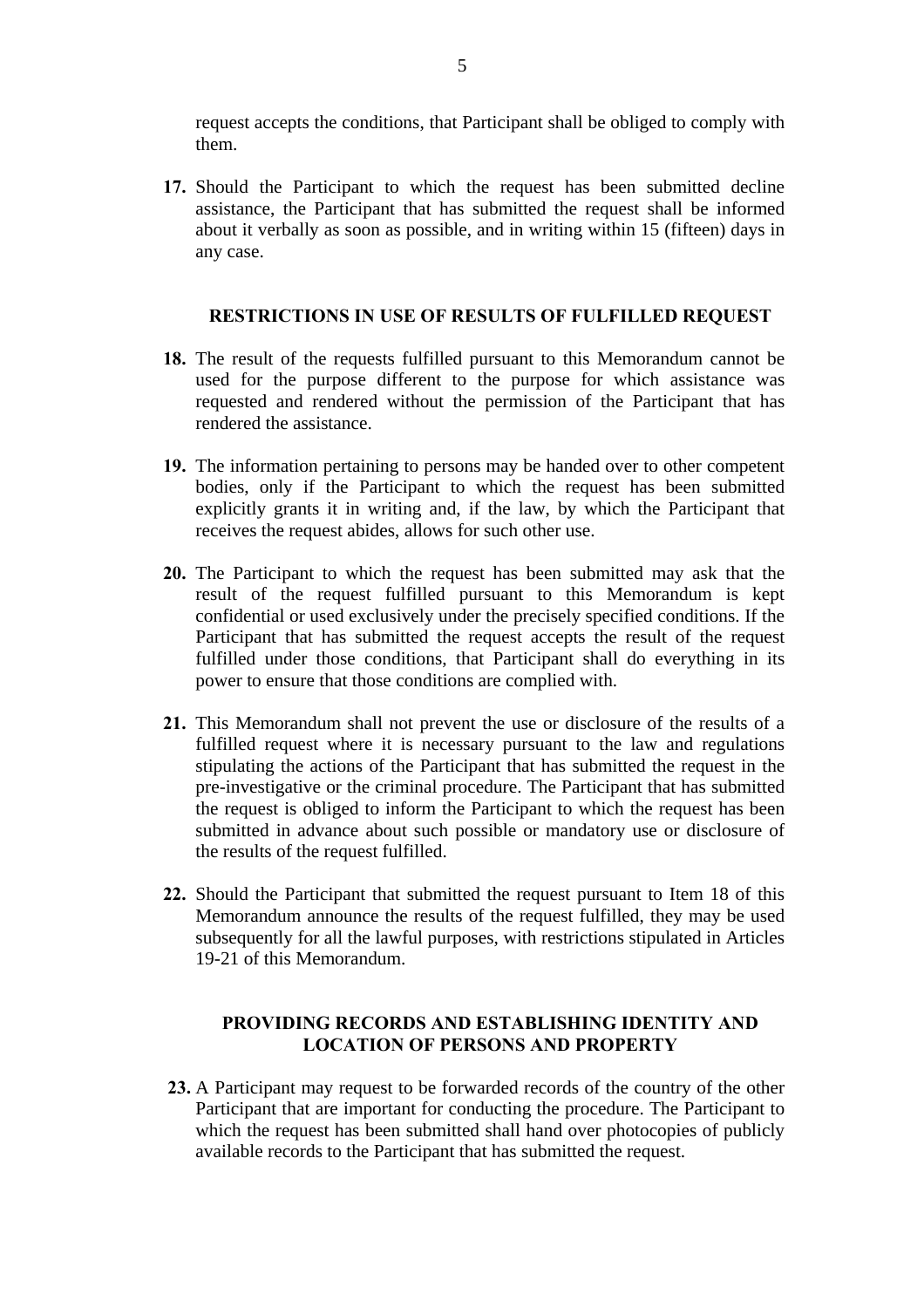request accepts the conditions, that Participant shall be obliged to comply with them.

**17.** Should the Participant to which the request has been submitted decline assistance, the Participant that has submitted the request shall be informed about it verbally as soon as possible, and in writing within 15 (fifteen) days in any case.

## **RESTRICTIONS IN USE OF RESULTS OF FULFILLED REQUEST**

- **18.** The result of the requests fulfilled pursuant to this Memorandum cannot be used for the purpose different to the purpose for which assistance was requested and rendered without the permission of the Participant that has rendered the assistance.
- **19.** The information pertaining to persons may be handed over to other competent bodies, only if the Participant to which the request has been submitted explicitly grants it in writing and, if the law, by which the Participant that receives the request abides, allows for such other use.
- **20.** The Participant to which the request has been submitted may ask that the result of the request fulfilled pursuant to this Memorandum is kept confidential or used exclusively under the precisely specified conditions. If the Participant that has submitted the request accepts the result of the request fulfilled under those conditions, that Participant shall do everything in its power to ensure that those conditions are complied with.
- **21.** This Memorandum shall not prevent the use or disclosure of the results of a fulfilled request where it is necessary pursuant to the law and regulations stipulating the actions of the Participant that has submitted the request in the pre-investigative or the criminal procedure. The Participant that has submitted the request is obliged to inform the Participant to which the request has been submitted in advance about such possible or mandatory use or disclosure of the results of the request fulfilled.
- **22.** Should the Participant that submitted the request pursuant to Item 18 of this Memorandum announce the results of the request fulfilled, they may be used subsequently for all the lawful purposes, with restrictions stipulated in Articles 19-21 of this Memorandum.

## **PROVIDING RECORDS AND ESTABLISHING IDENTITY AND LOCATION OF PERSONS AND PROPERTY**

**23.** A Participant may request to be forwarded records of the country of the other Participant that are important for conducting the procedure. The Participant to which the request has been submitted shall hand over photocopies of publicly available records to the Participant that has submitted the request.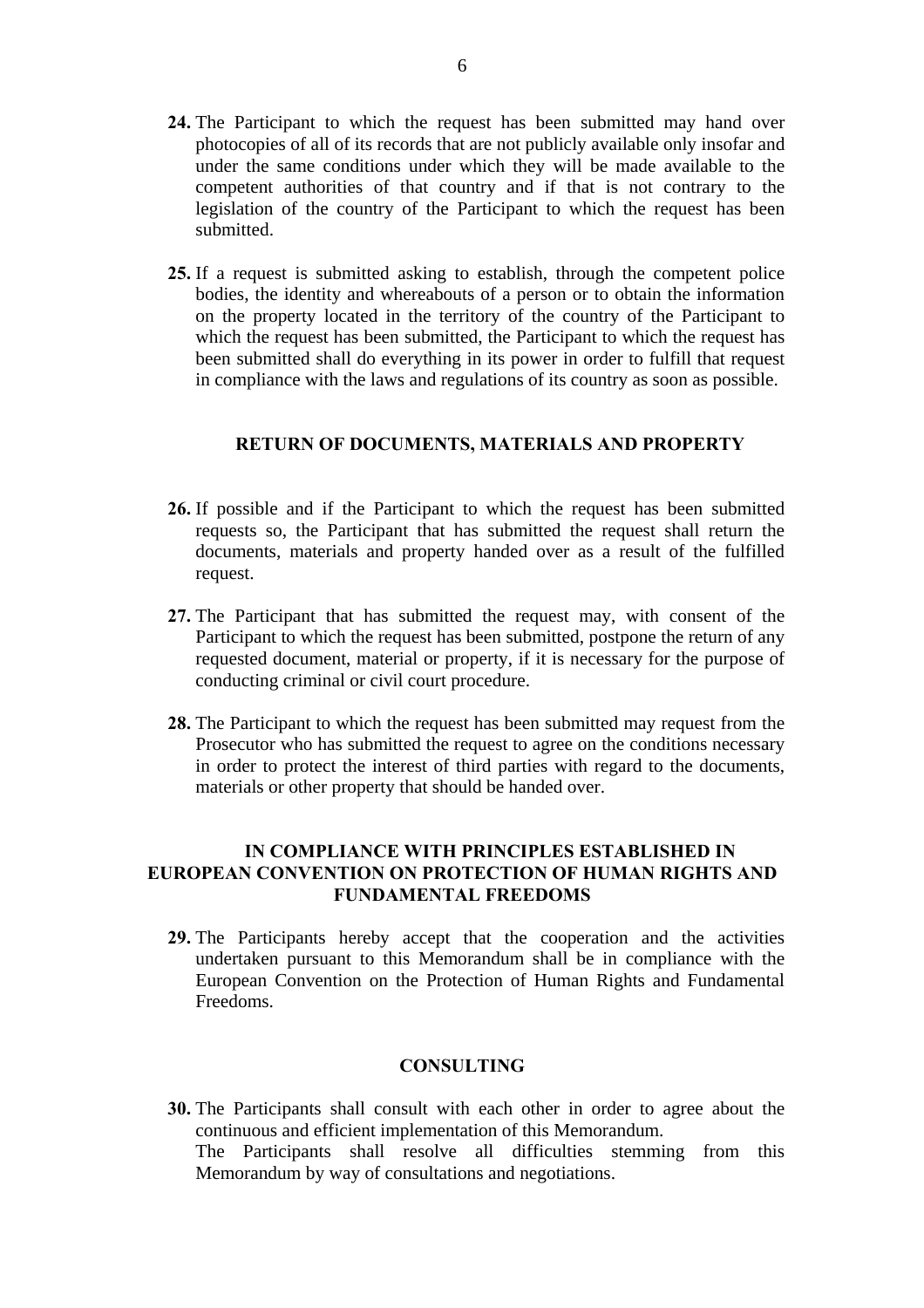- **24.** The Participant to which the request has been submitted may hand over photocopies of all of its records that are not publicly available only insofar and under the same conditions under which they will be made available to the competent authorities of that country and if that is not contrary to the legislation of the country of the Participant to which the request has been submitted.
- **25.** If a request is submitted asking to establish, through the competent police bodies, the identity and whereabouts of a person or to obtain the information on the property located in the territory of the country of the Participant to which the request has been submitted, the Participant to which the request has been submitted shall do everything in its power in order to fulfill that request in compliance with the laws and regulations of its country as soon as possible.

#### **RETURN OF DOCUMENTS, MATERIALS AND PROPERTY**

- **26.** If possible and if the Participant to which the request has been submitted requests so, the Participant that has submitted the request shall return the documents, materials and property handed over as a result of the fulfilled request.
- **27.** The Participant that has submitted the request may, with consent of the Participant to which the request has been submitted, postpone the return of any requested document, material or property, if it is necessary for the purpose of conducting criminal or civil court procedure.
- **28.** The Participant to which the request has been submitted may request from the Prosecutor who has submitted the request to agree on the conditions necessary in order to protect the interest of third parties with regard to the documents, materials or other property that should be handed over.

## **IN COMPLIANCE WITH PRINCIPLES ESTABLISHED IN EUROPEAN CONVENTION ON PROTECTION OF HUMAN RIGHTS AND FUNDAMENTAL FREEDOMS**

**29.** The Participants hereby accept that the cooperation and the activities undertaken pursuant to this Memorandum shall be in compliance with the European Convention on the Protection of Human Rights and Fundamental Freedoms.

#### **CONSULTING**

**30.** The Participants shall consult with each other in order to agree about the continuous and efficient implementation of this Memorandum. The Participants shall resolve all difficulties stemming from this Memorandum by way of consultations and negotiations.